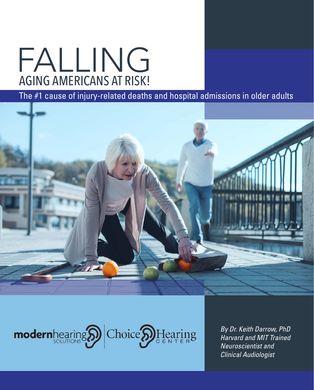# AGING AMERICANS AT RISK! FALLING

### The #1 cause of injury-related deaths and hospital admissions in older adults





*By Dr. Keith Darrow, PhD Harvard and MIT Trained Neuroscientist and Clinical Audiologist*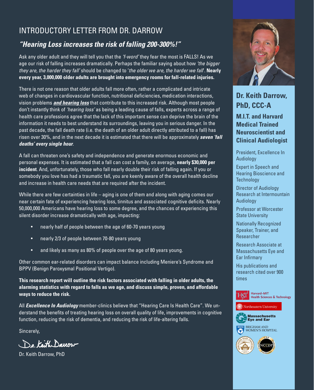#### INTRODUCTORY LETTER FROM DR. DARROW

#### *"Hearing Loss increases the risk of falling 200-300%!"*

Ask any older adult and they will tell you that the *'f-word'* they fear the most is FALLS! As we age our risk of falling increases dramatically. Perhaps the familiar saying about how *'the bigger they are, the harder they fall'* should be changed to '*the older we are, the harder we fall*'. **Nearly every year, 3,000,000 older adults are brought into emergency rooms for fall-related injuries.** 

There is not one reason that older adults fall more often, rather a complicated and intricate web of changes in cardiovascular function, nutritional deficiencies, medication interactions, vision problems *and hearing loss* that contribute to this increased risk. Although most people don't instantly think of *'hearing loss'* as being a leading cause of falls, experts across a range of health care professions agree that the lack of this important sense can deprive the brain of the information it needs to best understand its surroundings, leaving you in serious danger. In the past decade, the fall death rate (i.e. the death of an older adult directly attributed to a fall) has risen over 30%, and in the next decade it is estimated that there will be approximately *seven 'fall deaths' every single hour*.

A fall can threaten one's safety and independence and generate enormous economic and personal expenses. It is estimated that a fall can cost a family, on average, **nearly \$30,000 per incident**. And, unfortunately, those who fall nearly double their risk of falling again. If you or somebody you love has had a traumatic fall, you are keenly aware of the overall health decline and increase in health care needs that are required after the incident.

While there are few certainties in life – aging is one of them and along with aging comes our near certain fate of experiencing hearing loss, tinnitus and associated cognitive deficits. Nearly 50,000,000 Americans have hearing loss to some degree, and the chances of experiencing this silent disorder increase dramatically with age, impacting:

- nearly half of people between the age of 60-70 years young
- nearly 2/3 of people between 70-80 years young
- and likely as many as 80% of people over the age of 80 years young.

Other common ear-related disorders can impact balance including Meniere's Syndrome and BPPV (Benign Paroxysmal Positional Vertigo).

**This research report will outline the risk factors associated with falling in older adults, the alarming statistics with regard to falls as we age, and discuss simple, proven, and affordable ways to reduce the risk.** 

All *Excellence In Audiology* member-clinics believe that "Hearing Care Is Health Care". We understand the benefits of treating hearing loss on overall quality of life, improvements in cognitive function, reducing the risk of dementia, and reducing the risk of life-altering falls.

Sincerely,

De Keith Darrow

Dr. Keith Darrow, PhD



**Dr. Keith Darrow, PhD, CCC-A**

**M.I.T. and Harvard Medical Trained Neuroscientist and Clinical Audiologist**

President, Excellence In **Audiology** 

Expert in Speech and Hearing Bioscience and **Technology** 

Director of Audiology Research at Intermountain **Audiology** 

Professor at Worcester State University

Nationally Recognized Speaker, Trainer, and Researcher

Research Associate at Massachusetts Eye and Ear Infirmary

His publications and research cited over 900 times





**Massachusetts Eve and Ear** 

**BRIGHAM AND** WOMEN'S HOSPITAL

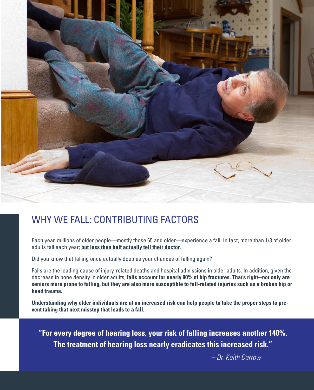

## WHY WE FALL: CONTRIBUTING FACTORS

Each year, millions of older people—mostly those 65 and older—experience a fall. In fact, more than 1/3 of older adults fall each year; **but less than half actually tell their doctor**.

Did you know that falling once actually doubles your chances of falling again?

Falls are the leading cause of injury-related deaths and hospital admissions in older adults. In addition, given the decrease in bone density in older adults, **falls account for nearly 90% of hip fractures. That's right--not only are seniors more prone to falling, but they are also more susceptible to fall-related injuries such as a broken hip or head trauma.** 

**Understanding why older individuals are at an increased risk can help people to take the proper steps to prevent taking that next misstep that leads to a fall.** 

**"For every degree of hearing loss, your risk of falling increases another 140%. The treatment of hearing loss nearly eradicates this increased risk."**

 *– Dr. Keith Darrow*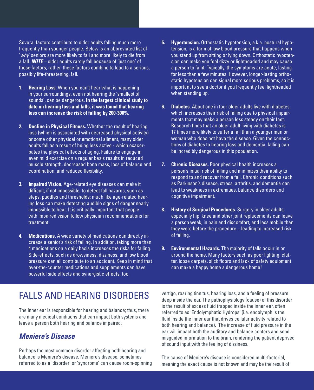Several factors contribute to older adults falling much more frequently than younger people. Below is an abbreviated list of '*why*' seniors are more likely to fall and more likely to die from a fall. *NOTE* – older adults rarely fall because of 'just one' of these factors; rather, these factors combine to lead to a serious, possibly life-threatening, fall.

- **1. Hearing Loss.** When you can't hear what is happening in your surroundings, even not hearing the 'smallest of sounds', can be dangerous. **In the largest clinical study to date on hearing loss and falls, it was found that hearing loss can increase the risk of falling by 200-300%.**
- **2. Decline in Physical Fitness.** Whether the result of hearing loss (which is associated with decreased physical activity) or some other physical or emotional ailment, many older adults fall as a result of being less active - which exacerbates the physical effects of aging. Failure to engage in even mild exercise on a regular basis results in reduced muscle strength, decreased bone mass, loss of balance and coordination, and reduced flexibility.
- **3. Impaired Vision.** Age-related eye diseases can make it difficult, if not impossible, to detect fall hazards, such as steps, puddles and thresholds; much like age-related hearing loss can make detecting audible signs of danger nearly impossible to hear. It is critically important that people with impaired vision follow physician recommendations for treatment.
- **4. Medications.** A wide variety of medications can directly increase a senior's risk of falling. In addition, taking more than 4 medications on a daily basis increases the risks for falling. Side-effects, such as drowsiness, dizziness, and low blood pressure can all contribute to an accident. Keep in mind that over-the-counter medications and supplements can have powerful side effects and synergistic effects, too.
- **5. Hypertension.** Orthostatic hypotension, a.k.a. postural hypotension, is a form of low blood pressure that happens when you stand up from sitting or lying down. Orthostatic hypotension can make you feel dizzy or lightheaded and may cause a person to faint. Typically, the symptoms are acute, lasting for less than a few minutes. However, longer-lasting orthostatic hypotension can signal more serious problems, so it is important to see a doctor if you frequently feel lightheaded when standing up.
- **6. Diabetes.** About one in four older adults live with diabetes, which increases their risk of falling due to physical impairments that may make a person less steady on their feet. Research finds that an older adult living with diabetes is 17 times more likely to suffer a fall than a younger man or woman who does not have the disease. Given the connections of diabetes to hearing loss and dementia, falling can be incredibly dangerous in this population.
- **7. Chronic Diseases.** Poor physical health increases a person's initial risk of falling and minimizes their ability to respond to and recover from a fall. Chronic conditions such as Parkinson's disease, stress, arthritis, and dementia can lead to weakness in extremities, balance disorders and cognitive impairment.
- **8. History of Surgical Procedures.** Surgery in older adults, especially hip, knee and other joint replacements can leave a person weak, in pain and discomfort, and less mobile than they were before the procedure – leading to increased risk of falling.
- **9. Environmental Hazards.** The majority of falls occur in or around the home. Many factors such as poor lighting, clutter, loose carpets, slick floors and lack of safety equipment can make a happy home a dangerous home!

## FALLS AND HEARING DISORDERS

The inner ear is responsible for hearing and balance; thus, there are many medical conditions that can impact both systems and leave a person both hearing and balance impaired.

#### *Meniere's Disease*

Perhaps the most common disorder affecting both hearing and balance is Meniere's disease. Meniere's disease, sometimes referred to as a 'disorder' or 'syndrome' can cause room-spinning vertigo, roaring tinnitus, hearing loss, and a feeling of pressure deep inside the ear. The pathophysiology (cause) of this disorder is the result of excess fluid trapped inside the inner ear, often referred to as 'Endolymphatic Hydrops' (i.e. endolymph is the fluid inside the inner ear that drives cellular activity related to both hearing and balance). The increase of fluid pressure in the ear will impact both the auditory and balance centers and send misguided information to the brain, rendering the patient deprived of sound input with the feeling of dizziness.

The cause of Meniere's disease is considered multi-factorial, meaning the exact cause is not known and may be the result of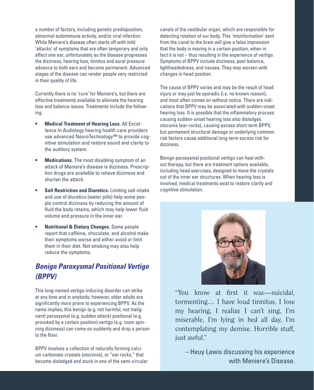a number of factors, including genetic predisposition, abnormal autoimmune activity, and/or viral infection. While Meniere's disease often starts off with mild 'attacks' of symptoms that are often temporary and only affect one ear, unfortunately as the disease progresses the dizziness, hearing loss, tinnitus and aural pressure advance to both ears and become permanent. Advanced stages of the disease can render people very restricted in their quality of life.

Currently there is no 'cure' for Meniere's, but there are effective treatments available to alleviate the hearing loss and balance issues. Treatments include the following:

- **• Medical Treatment of Hearing Loss.** All Excellence In Audiology hearing health care providers use advanced NeuroTechnology™ to provide cognitive stimulation and restore sound and clarity to the auditory system.
- **• Medications.** The most disabling symptom of an attack of Meniere's disease is dizziness. Prescription drugs are available to relieve dizziness and shorten the attack.
- **• Salt Restriction and Diuretics.** Limiting salt intake and use of diuretics (water pills) help some people control dizziness by reducing the amount of fluid the body retains, which may help lower fluid volume and pressure in the inner ear.
- **• Nutritional & Dietary Changes.** Some people report that caffeine, chocolate, and alcohol make their symptoms worse and either avoid or limit them in their diet. Not smoking may also help reduce the symptoms.

#### *Benign Paroxysmal Positional Vertigo (BPPV)*

This long-named vertigo-inducing disorder can strike at any time and in anybody; however, older adults are significantly more prone to experiencing BPPV. As the name implies, this benign (e.g. not harmful, not malignant) paroxysmal (e.g. sudden attack) positional (e.g. provoked by a certain position) vertigo (e.g. room spinning dizziness) can come on suddenly and drop a person to the floor.

BPPV involves a collection of naturally forming calcium carbonate crystals (otoconia), or "ear rocks," that become dislodged and stuck in one of the semi-circular canals of the vestibular organ, which are responsible for detecting rotation of our body. This 'misinformation' sent from the canal to the brain will give a false impression that the body is moving in a certain position, when in fact it is not – thus resulting in the experience of vertigo. Symptoms of BPPV include dizziness, poor balance, lightheadedness, and nausea. They may worsen with changes in head position.

The cause of BPPV varies and may be the result of head injury or may just be sporadic (i.e. no known reason). and most often comes on without notice. There are indications that BPPV may be associated with sudden-onset hearing loss. It is possible that the inflammatory process causing sudden-onset hearing loss also dislodges otoconia (ear-rocks), causing excess short-term BPPV, but permanent structural damage or underlying common risk factors cause additional long-term excess risk for dizziness.

Benign paroxysmal positional vertigo can heal without therapy, but there are treatment options available, including head exercises, designed to move the crystals out of the inner ear structures. When hearing loss is involved, medical treatments exist to restore clarity and cognitive stimulation.



"You know at first it was—suicidal, tormenting… I have loud tinnitus, I lose my hearing, I realize I can't sing, I'm miserable, I'm lying in bed all day, I'm contemplating my demise. Horrible stuff, just awful."

– Heuy Lewis discussing his experience with Meniere's Disease.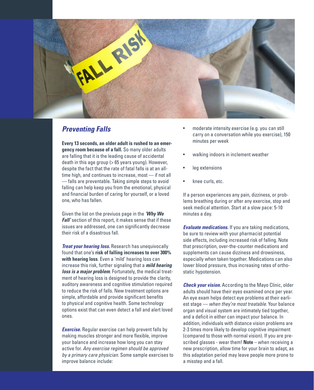

#### *Preventing Falls*

**Every 13 seconds, an older adult is rushed to an emergency room because of a fall.** So many older adults are falling that it is the leading cause of accidental death in this age group (> 65 years young). However, despite the fact that the rate of fatal falls is at an alltime high, and continues to increase, most — if not all — falls are preventable. Taking simple steps to avoid falling can help keep you from the emotional, physical and financial burden of caring for yourself, or a loved one, who has fallen.

Given the list on the previuos page in the *'Why We Fall'* section of this report, it makes sense that if these issues are addressed, one can significantly decrease their risk of a disastrous fall.

*Treat your hearing loss.* Research has unequivocally found that one's **risk of falling increases to over 300% with hearing loss**. Even a 'mild' hearing loss can increase this risk, further signaling that a *mild hearing loss is a major problem*. Fortunately, the medical treatment of hearing loss is designed to provide the clarity, auditory awareness and cognitive stimulation required to reduce the risk of falls. New treatment options are simple, affordable and provide significant benefits to physical and cognitive health. Some technology options exist that can even detect a fall and alert loved ones.

**Exercise.** Regular exercise can help prevent falls by making muscles stronger and more flexible, improve your balance and increase how long you can stay active for. *Any exercise regimen should be approved by a primary care physician.* Some sample exercises to improve balance include:

- moderate intensity exercise (e.g. you can still carry on a conversation while you exercise), 150 minutes per week
- walking indoors in inclement weather
- leg extensions
- knee curls, etc.

If a person experiences any pain, dizziness, or problems breathing during or after any exercise, stop and seek medical attention. Start at a slow pace: 5-10 minutes a day.

*Evaluate medications.* If you are taking medications, be sure to review with your pharmacist potential side effects, including increased risk of falling. Note that prescription, over-the-counter medications and supplements can cause dizziness and drowsiness, especially when taken together. Medications can also lower blood pressure, thus increasing rates of orthostatic hypotension.

*Check your vision.* According to the Mayo Clinic, older adults should have their eyes examined once per year. An eye exam helps detect eye problems at their earliest stage — *when they're most treatable*. Your balance organ and visual system are intimately tied together, and a deficit in either can impact your balance. In addition, individuals with distance vision problems are 2-3 times more likely to develop cognitive impairment (compared to those with normal vision). If you are prescribed glasses - wear them! **Note** – when receiving a new prescription, allow time for your brain to adapt, as this adaptation period may leave people more prone to a misstep and a fall.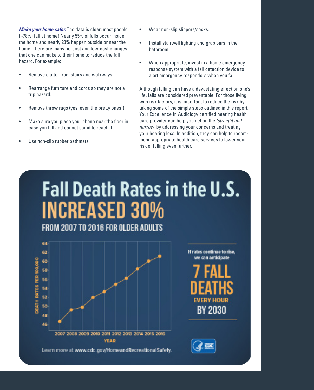*Make your home safer.* The data is clear; most people (~78%) fall at home! Nearly 55% of falls occur inside the home and nearly 23% happen outside or near the home. There are many no-cost and low-cost changes that one can make to their home to reduce the fall hazard. For example:

- Remove clutter from stairs and walkways.
- Rearrange furniture and cords so they are not a trip hazard.
- Remove throw rugs (yes, even the pretty ones!).
- Make sure you place your phone near the floor in case you fall and cannot stand to reach it.
- Use non-slip rubber bathmats.
- Wear non-slip slippers/socks.
- Install stairwell lighting and grab bars in the bathroom.
- When appropriate, invest in a home emergency response system with a fall detection device to alert emergency responders when you fall.

Although falling can have a devastating effect on one's life, falls are considered preventable. For those living with risk factors, it is important to reduce the risk by taking some of the simple steps outlined in this report. Your Excellence In Audiology certified hearing health care provider can help you get on the *'straight and narrow'* by addressing your concerns and treating your hearing loss. In addition, they can help to recommend appropriate health care services to lower your risk of falling even further.

# Fall Death Rates in the U.S. **INCREASED 30%**

FROM 2007 TO 2016 FOR OLDER ADULTS



Learn more at www.cdc.gov/HomeandRecreationalSafety.

If rates continue to rise, we can anticipate

**EVERY HOU BY 2030**